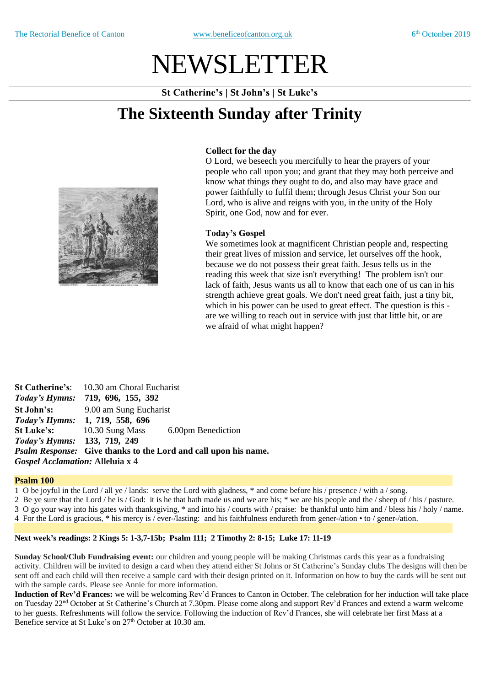# NEWSLETTER

**St Catherine's | St John's | St Luke's**

## **The Sixteenth Sunday after Trinity**



#### **Collect for the day**

O Lord, we beseech you mercifully to hear the prayers of your people who call upon you; and grant that they may both perceive and know what things they ought to do, and also may have grace and power faithfully to fulfil them; through Jesus Christ your Son our Lord, who is alive and reigns with you, in the unity of the Holy Spirit, one God, now and for ever.

#### **Today's Gospel**

We sometimes look at magnificent Christian people and, respecting their great lives of mission and service, let ourselves off the hook, because we do not possess their great faith. Jesus tells us in the reading this week that size isn't everything! The problem isn't our lack of faith, Jesus wants us all to know that each one of us can in his strength achieve great goals. We don't need great faith, just a tiny bit, which in his power can be used to great effect. The question is this are we willing to reach out in service with just that little bit, or are we afraid of what might happen?

**St Catherine's**: 10.30 am Choral Eucharist *Today's Hymns:* **719, 696, 155, 392 St John's:** 9.00 am Sung Eucharist *Today's Hymns:* **1, 719, 558, 696 St Luke's:** 10.30 Sung Mass 6.00pm Benediction *Today's Hymns:* **133, 719, 249** *Psalm Response:* **Give thanks to the Lord and call upon his name.** *Gospel Acclamation:* **Alleluia x 4**

#### **Psalm 100**

1 O be joyful in the Lord / all ye / lands: serve the Lord with gladness, \* and come before his / presence / with a / song.

2 Be ye sure that the Lord / he is / God: it is he that hath made us and we are his; \* we are his people and the / sheep of / his / pasture. 3 O go your way into his gates with thanksgiving, \* and into his / courts with / praise: be thankful unto him and / bless his / holy / name. 4 For the Lord is gracious, \* his mercy is / ever-/lasting: and his faithfulness endureth from gener-/ation • to / gener-/ation.

### **Next week's readings: 2 Kings 5: 1-3,7-15b; Psalm 111; 2 Timothy 2: 8-15; Luke 17: 11-19**

**Sunday School/Club Fundraising event:** our children and young people will be making Christmas cards this year as a fundraising activity. Children will be invited to design a card when they attend either St Johns or St Catherine's Sunday clubs The designs will then be sent off and each child will then receive a sample card with their design printed on it. Information on how to buy the cards will be sent out with the sample cards. Please see Annie for more information.

**Induction of Rev'd Frances:** we will be welcoming Rev'd Frances to Canton in October. The celebration for her induction will take place on Tuesday 22<sup>nd</sup> October at St Catherine's Church at 7.30pm. Please come along and support Rev'd Frances and extend a warm welcome to her guests. Refreshments will follow the service. Following the induction of Rev'd Frances, she will celebrate her first Mass at a Benefice service at St Luke's on 27<sup>th</sup> October at 10.30 am.